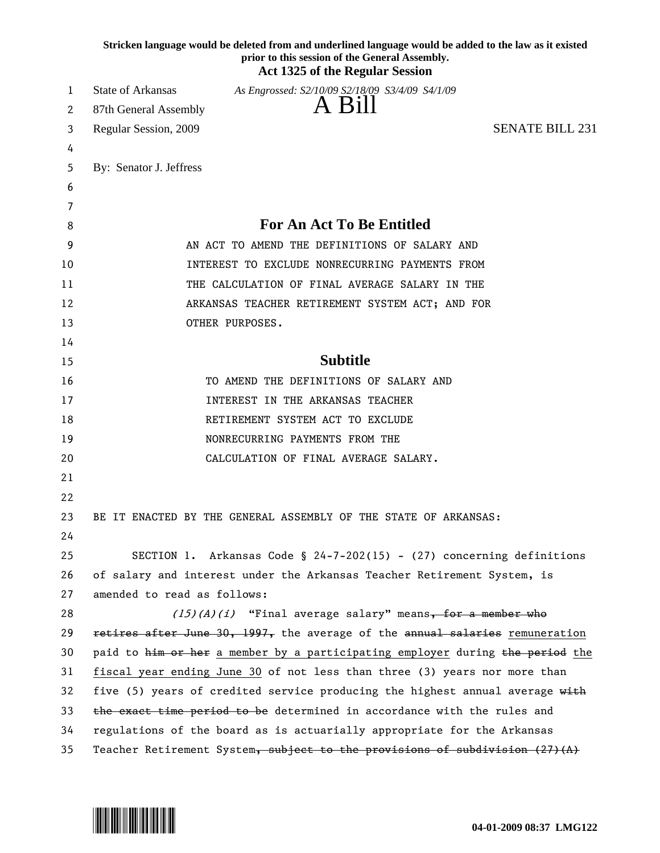|    |                             | Stricken language would be deleted from and underlined language would be added to the law as it existed<br>prior to this session of the General Assembly.<br><b>Act 1325 of the Regular Session</b> |
|----|-----------------------------|-----------------------------------------------------------------------------------------------------------------------------------------------------------------------------------------------------|
| 1  | <b>State of Arkansas</b>    | As Engrossed: S2/10/09 S2/18/09 S3/4/09 S4/1/09                                                                                                                                                     |
| 2  | 87th General Assembly       | A Bill                                                                                                                                                                                              |
| 3  | Regular Session, 2009       | <b>SENATE BILL 231</b>                                                                                                                                                                              |
| 4  |                             |                                                                                                                                                                                                     |
| 5  | By: Senator J. Jeffress     |                                                                                                                                                                                                     |
| 6  |                             |                                                                                                                                                                                                     |
| 7  |                             |                                                                                                                                                                                                     |
| 8  |                             | <b>For An Act To Be Entitled</b>                                                                                                                                                                    |
| 9  |                             | AN ACT TO AMEND THE DEFINITIONS OF SALARY AND                                                                                                                                                       |
| 10 |                             | INTEREST TO EXCLUDE NONRECURRING PAYMENTS FROM                                                                                                                                                      |
| 11 |                             | THE CALCULATION OF FINAL AVERAGE SALARY IN THE                                                                                                                                                      |
| 12 |                             | ARKANSAS TEACHER RETIREMENT SYSTEM ACT; AND FOR                                                                                                                                                     |
| 13 |                             | OTHER PURPOSES.                                                                                                                                                                                     |
| 14 |                             |                                                                                                                                                                                                     |
| 15 |                             | <b>Subtitle</b>                                                                                                                                                                                     |
| 16 |                             | TO AMEND THE DEFINITIONS OF SALARY AND                                                                                                                                                              |
| 17 |                             | INTEREST IN THE ARKANSAS TEACHER                                                                                                                                                                    |
| 18 |                             | RETIREMENT SYSTEM ACT TO EXCLUDE                                                                                                                                                                    |
| 19 |                             | NONRECURRING PAYMENTS FROM THE                                                                                                                                                                      |
| 20 |                             | CALCULATION OF FINAL AVERAGE SALARY.                                                                                                                                                                |
| 21 |                             |                                                                                                                                                                                                     |
| 22 |                             |                                                                                                                                                                                                     |
| 23 |                             | BE IT ENACTED BY THE GENERAL ASSEMBLY OF THE STATE OF ARKANSAS:                                                                                                                                     |
| 24 |                             |                                                                                                                                                                                                     |
| 25 |                             | SECTION 1. Arkansas Code § 24-7-202(15) - (27) concerning definitions                                                                                                                               |
| 26 |                             | of salary and interest under the Arkansas Teacher Retirement System, is                                                                                                                             |
| 27 | amended to read as follows: |                                                                                                                                                                                                     |
| 28 |                             | $(15)(A)(i)$ "Final average salary" means, for a member who                                                                                                                                         |
| 29 |                             | retires after June 30, 1997, the average of the annual salaries remuneration                                                                                                                        |
| 30 |                             | paid to him or her a member by a participating employer during the period the                                                                                                                       |
| 31 |                             | fiscal year ending June 30 of not less than three (3) years nor more than                                                                                                                           |
| 32 |                             | five (5) years of credited service producing the highest annual average with                                                                                                                        |
| 33 |                             | the exact time period to be determined in accordance with the rules and                                                                                                                             |
| 34 |                             | regulations of the board as is actuarially appropriate for the Arkansas                                                                                                                             |
| 35 |                             | Teacher Retirement System, subject to the provisions of subdivision $(27)(A)$                                                                                                                       |

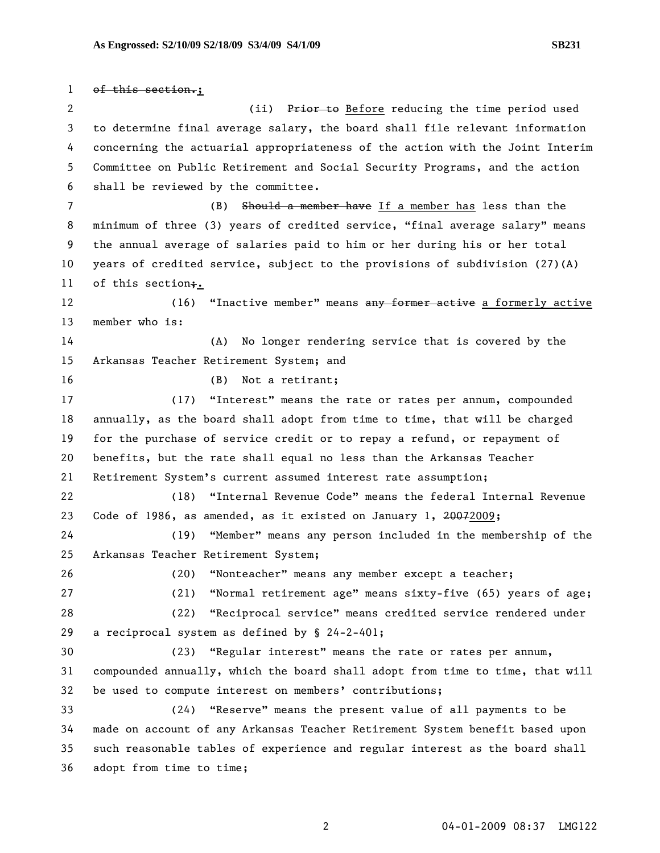1 of this section.; 2 (ii) Prior to Before reducing the time period used 3 to determine final average salary, the board shall file relevant information 4 concerning the actuarial appropriateness of the action with the Joint Interim 5 Committee on Public Retirement and Social Security Programs, and the action 6 shall be reviewed by the committee. 7 (B) Should a member have If a member has less than the 8 minimum of three (3) years of credited service, "final average salary" means 9 the annual average of salaries paid to him or her during his or her total 10 years of credited service, subject to the provisions of subdivision (27)(A) 11 of this section;. 12 (16) "Inactive member" means any former active a formerly active 13 member who is: 14 (A) No longer rendering service that is covered by the 15 Arkansas Teacher Retirement System; and 16 (B) Not a retirant; 17 (17) "Interest" means the rate or rates per annum, compounded 18 annually, as the board shall adopt from time to time, that will be charged 19 for the purchase of service credit or to repay a refund, or repayment of 20 benefits, but the rate shall equal no less than the Arkansas Teacher 21 Retirement System's current assumed interest rate assumption; 22 (18) "Internal Revenue Code" means the federal Internal Revenue 23 Code of 1986, as amended, as it existed on January 1, 20072009; 24 (19) "Member" means any person included in the membership of the 25 Arkansas Teacher Retirement System; 26 (20) "Nonteacher" means any member except a teacher; 27 (21) "Normal retirement age" means sixty-five (65) years of age; 28 (22) "Reciprocal service" means credited service rendered under 29 a reciprocal system as defined by § 24-2-401; 30 (23) "Regular interest" means the rate or rates per annum, 31 compounded annually, which the board shall adopt from time to time, that will 32 be used to compute interest on members' contributions; 33 (24) "Reserve" means the present value of all payments to be 34 made on account of any Arkansas Teacher Retirement System benefit based upon 35 such reasonable tables of experience and regular interest as the board shall 36 adopt from time to time;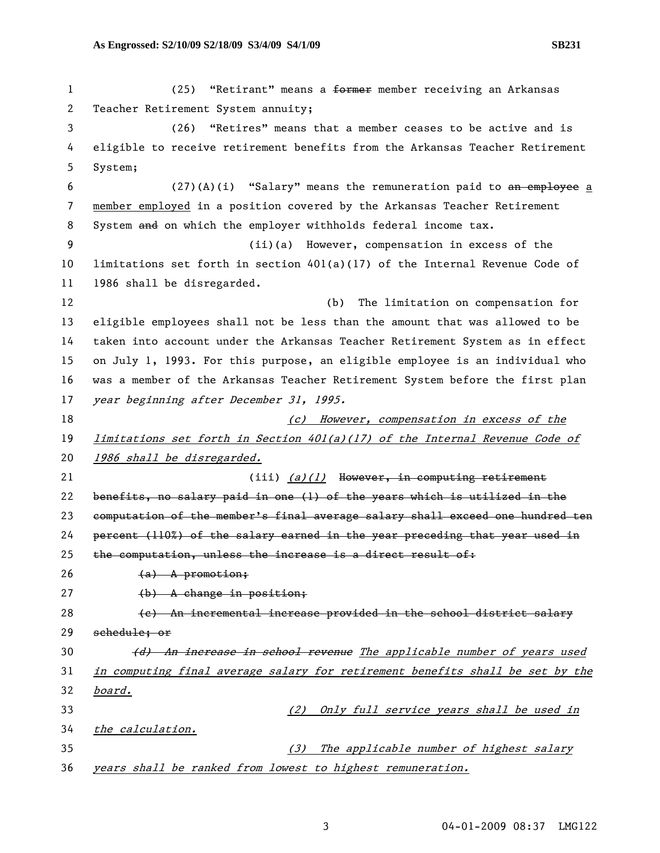| $\mathbf 1$ | "Retirant" means a <del>former</del> member receiving an Arkansas<br>(25)     |
|-------------|-------------------------------------------------------------------------------|
| 2           | Teacher Retirement System annuity;                                            |
| 3           | (26)<br>"Retires" means that a member ceases to be active and is              |
| 4           | eligible to receive retirement benefits from the Arkansas Teacher Retirement  |
| 5           | System;                                                                       |
| 6           | $(27)(A)(i)$ "Salary" means the remuneration paid to an employee a            |
| 7           | member employed in a position covered by the Arkansas Teacher Retirement      |
| 8           | System and on which the employer withholds federal income tax.                |
| 9           | (ii)(a) However, compensation in excess of the                                |
| 10          | limitations set forth in section $401(a)(17)$ of the Internal Revenue Code of |
| 11          | 1986 shall be disregarded.                                                    |
| 12          | (b)<br>The limitation on compensation for                                     |
| 13          | eligible employees shall not be less than the amount that was allowed to be   |
| 14          | taken into account under the Arkansas Teacher Retirement System as in effect  |
| 15          | on July 1, 1993. For this purpose, an eligible employee is an individual who  |
| 16          | was a member of the Arkansas Teacher Retirement System before the first plan  |
| 17          | year beginning after December 31, 1995.                                       |
| 18          | (c) However, compensation in excess of the                                    |
| 19          | limitations set forth in Section $401(a)(17)$ of the Internal Revenue Code of |
| 20          | 1986 shall be disregarded.                                                    |
| 21          | (iii) $(a)/(l)$ However, in computing retirement                              |
| 22          | benefits, no salary paid in one (1) of the years which is utilized in the     |
| 23          | computation of the member's final average salary shall exceed one hundred ten |
| 24          | percent (110%) of the salary earned in the year preceding that year used in   |
| 25          | the computation, unless the increase is a direct result of:                   |
| 26          | $(a)$ A promotion;                                                            |
| 27          | $(b)$ A change in position;                                                   |
| 28          | (e) An incremental increase provided in the school district salary            |
| 29          | <del>schedule; or</del>                                                       |
| 30          | (d) An increase in school revenue The applicable number of years used         |
| 31          | in computing final average salary for retirement benefits shall be set by the |
| 32          | board.                                                                        |
| 33          | Only full service years shall be used in<br>(2)                               |
| 34          | the calculation.                                                              |
| 35          | The applicable number of highest salary<br>(3)                                |
| 36          | years shall be ranked from lowest to highest remuneration.                    |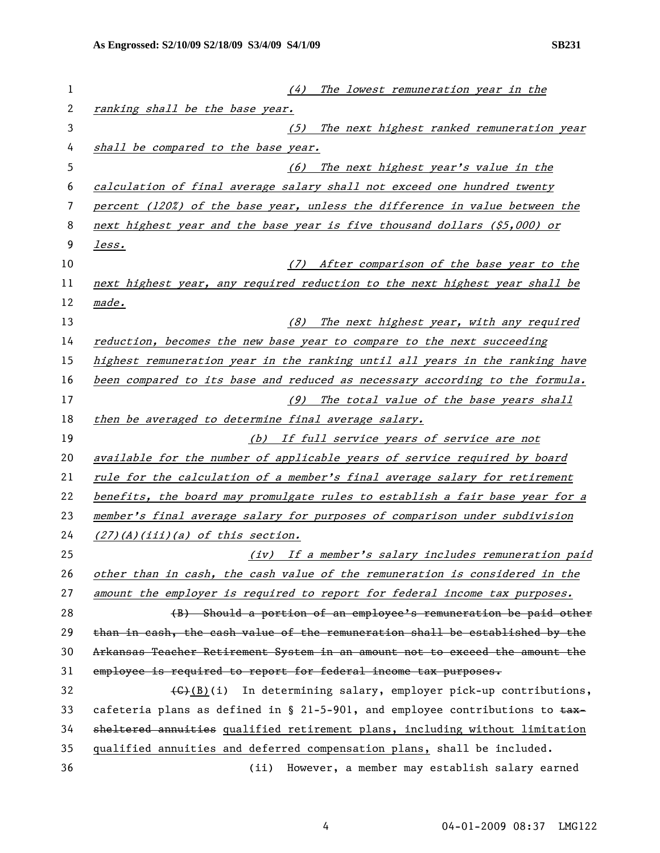| 1  | (4)<br>The lowest remuneration year in the                                            |
|----|---------------------------------------------------------------------------------------|
| 2  | ranking shall be the base year.                                                       |
| 3  | (5) The next highest ranked remuneration year                                         |
| 4  | shall be compared to the base year.                                                   |
| 5  | (6) The next highest year's value in the                                              |
| 6  | calculation of final average salary shall not exceed one hundred twenty               |
| 7  | percent (120%) of the base year, unless the difference in value between the           |
| 8  | next highest year and the base year is five thousand dollars (\$5,000) or             |
| 9  | less.                                                                                 |
| 10 | (7) After comparison of the base year to the                                          |
| 11 | next highest year, any required reduction to the next highest year shall be           |
| 12 | made.                                                                                 |
| 13 | (8) The next highest year, with any required                                          |
| 14 | reduction, becomes the new base year to compare to the next succeeding                |
| 15 | highest remuneration year in the ranking until all years in the ranking have          |
| 16 | been compared to its base and reduced as necessary according to the formula.          |
| 17 | (9) The total value of the base years shall                                           |
| 18 | then be averaged to determine final average salary.                                   |
| 19 | (b) If full service years of service are not                                          |
| 20 | available for the number of applicable years of service required by board             |
| 21 | rule for the calculation of a member's final average salary for retirement            |
| 22 | benefits, the board may promulgate rules to establish a fair base year for a          |
| 23 | member's final average salary for purposes of comparison under subdivision            |
| 24 | $(27)(A)(iii)(a)$ of this section.                                                    |
| 25 | (iv) If a member's salary includes remuneration paid                                  |
| 26 | other than in cash, the cash value of the remuneration is considered in the           |
| 27 | amount the employer is required to report for federal income tax purposes.            |
| 28 | (B) Should a portion of an employee's remuneration be paid other                      |
| 29 | than in cash, the cash value of the remuneration shall be established by the          |
| 30 | Arkansas Teacher Retirement System in an amount not to exceed the amount the          |
| 31 | employee is required to report for federal income tax purposes.                       |
| 32 | $\left(\frac{1}{2}\right)$ (i) In determining salary, employer pick-up contributions, |
| 33 | cafeteria plans as defined in § 21-5-901, and employee contributions to $\pm$ ax-     |
| 34 | sheltered annuities qualified retirement plans, including without limitation          |
| 35 | qualified annuities and deferred compensation plans, shall be included.               |
| 36 | However, a member may establish salary earned<br>(ii)                                 |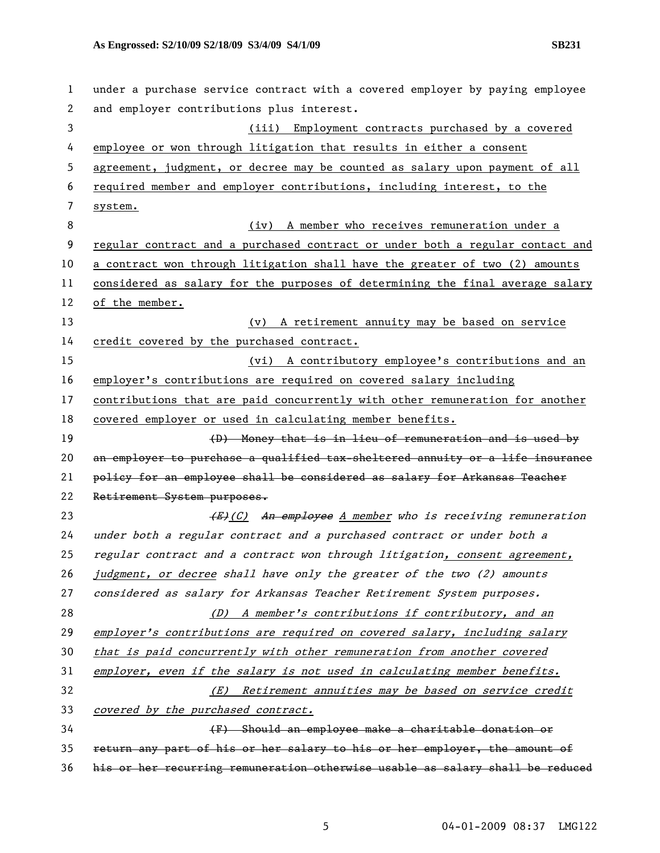| 1  | under a purchase service contract with a covered employer by paying employee  |
|----|-------------------------------------------------------------------------------|
| 2  | and employer contributions plus interest.                                     |
| 3  | (iii) Employment contracts purchased by a covered                             |
| 4  | employee or won through litigation that results in either a consent           |
| 5  | agreement, judgment, or decree may be counted as salary upon payment of all   |
| 6  | required member and employer contributions, including interest, to the        |
| 7  | system.                                                                       |
| 8  | A member who receives remuneration under a<br>(iv)                            |
| 9  | regular contract and a purchased contract or under both a regular contact and |
| 10 | a contract won through litigation shall have the greater of two (2) amounts   |
| 11 | considered as salary for the purposes of determining the final average salary |
| 12 | of the member.                                                                |
| 13 | (v) A retirement annuity may be based on service                              |
| 14 | credit covered by the purchased contract.                                     |
| 15 | (vi) A contributory employee's contributions and an                           |
| 16 | employer's contributions are required on covered salary including             |
| 17 | contributions that are paid concurrently with other remuneration for another  |
| 18 | covered employer or used in calculating member benefits.                      |
| 19 | (D) Money that is in lieu of remuneration and is used by                      |
| 20 | an employer to purchase a qualified tax-sheltered annuity or a life insurance |
| 21 | policy for an employee shall be considered as salary for Arkansas Teacher     |
| 22 | Retirement System purposes.                                                   |
| 23 | (E)(C) An employee A member who is receiving remuneration                     |
| 24 | under both a regular contract and a purchased contract or under both a        |
| 25 | regular contract and a contract won through litigation, consent agreement,    |
| 26 | judgment, or decree shall have only the greater of the two (2) amounts        |
| 27 | considered as salary for Arkansas Teacher Retirement System purposes.         |
| 28 | (D) A member's contributions if contributory, and an                          |
| 29 | employer's contributions are required on covered salary, including salary     |
| 30 | that is paid concurrently with other remuneration from another covered        |
| 31 | employer, even if the salary is not used in calculating member benefits.      |
| 32 | Retirement annuities may be based on service credit<br>(E)                    |
| 33 | covered by the purchased contract.                                            |
| 34 | (F) Should an employee make a charitable donation or                          |
| 35 | return any part of his or her salary to his or her employer, the amount of    |
| 36 | his or her recurring remuneration otherwise usable as salary shall be reduced |